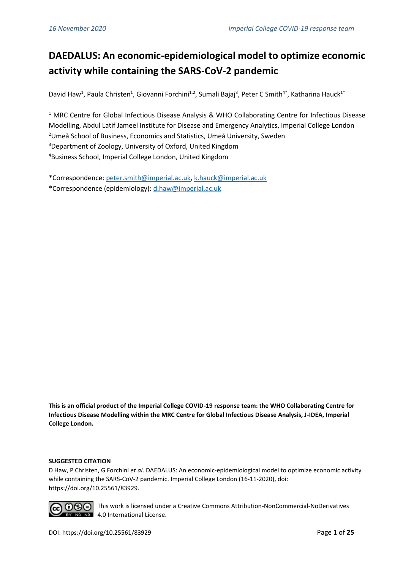# **DAEDALUS: An economic-epidemiological model to optimize economic activity while containing the SARS-CoV-2 pandemic**

David Haw<sup>1</sup>, Paula Christen<sup>1</sup>, Giovanni Forchini<sup>1,2</sup>, Sumali Bajaj<sup>3</sup>, Peter C Smith<sup>4\*</sup>, Katharina Hauck<sup>1\*</sup>

<sup>1</sup> MRC Centre for Global Infectious Disease Analysis & WHO Collaborating Centre for Infectious Disease Modelling, Abdul Latif Jameel Institute for Disease and Emergency Analytics, Imperial College London <sup>2</sup>Umeå School of Business, Economics and Statistics, Umeå University, Sweden <sup>3</sup>Department of Zoology, University of Oxford, United Kingdom <sup>4</sup>Business School, Imperial College London, United Kingdom

\*Correspondence: [peter.smith@imperial.ac.uk,](mailto:peter.smith@imperial.ac.uk) [k.hauck@imperial.ac.uk](mailto:k.hauck@imperial.ac.uk) \*Correspondence (epidemiology): [d.haw@imperial.ac.uk](mailto:d.haw@imperial.ac.uk)

**This is an official product of the Imperial College COVID-19 response team: the WHO Collaborating Centre for Infectious Disease Modelling within the MRC Centre for Global Infectious Disease Analysis, J-IDEA, Imperial College London.**

#### **SUGGESTED CITATION**

D Haw, P Christen, G Forchini *et al*. DAEDALUS: An economic-epidemiological model to optimize economic activity while containing the SARS-CoV-2 pandemic. Imperial College London (16-11-2020), doi: https://doi.org/10.25561/83929.



This work is licensed under a Creative Commons Attribution-NonCommercial-NoDerivatives No No 4.0 International License.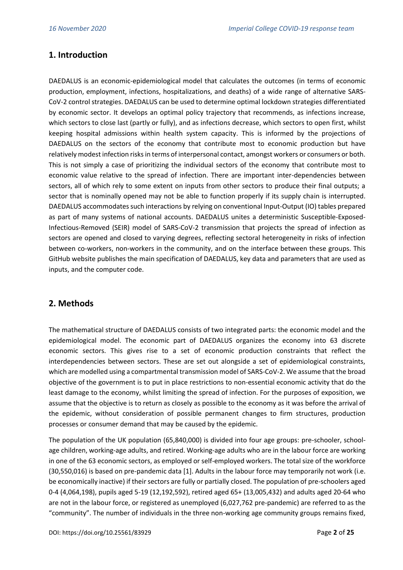## **1. Introduction**

DAEDALUS is an economic-epidemiological model that calculates the outcomes (in terms of economic production, employment, infections, hospitalizations, and deaths) of a wide range of alternative SARS-CoV-2 control strategies. DAEDALUS can be used to determine optimal lockdown strategies differentiated by economic sector. It develops an optimal policy trajectory that recommends, as infections increase, which sectors to close last (partly or fully), and as infections decrease, which sectors to open first, whilst keeping hospital admissions within health system capacity. This is informed by the projections of DAEDALUS on the sectors of the economy that contribute most to economic production but have relatively modest infection risks in terms of interpersonal contact, amongst workers or consumers or both. This is not simply a case of prioritizing the individual sectors of the economy that contribute most to economic value relative to the spread of infection. There are important inter-dependencies between sectors, all of which rely to some extent on inputs from other sectors to produce their final outputs; a sector that is nominally opened may not be able to function properly if its supply chain is interrupted. DAEDALUS accommodates such interactions by relying on conventional Input-Output (IO) tables prepared as part of many systems of national accounts. DAEDALUS unites a deterministic Susceptible-Exposed-Infectious-Removed (SEIR) model of SARS-CoV-2 transmission that projects the spread of infection as sectors are opened and closed to varying degrees, reflecting sectoral heterogeneity in risks of infection between co-workers, non-workers in the community, and on the interface between these groups. This GitHub website publishes the main specification of DAEDALUS, key data and parameters that are used as inputs, and the computer code.

## **2. Methods**

The mathematical structure of DAEDALUS consists of two integrated parts: the economic model and the epidemiological model. The economic part of DAEDALUS organizes the economy into 63 discrete economic sectors. This gives rise to a set of economic production constraints that reflect the interdependencies between sectors. These are set out alongside a set of epidemiological constraints, which are modelled using a compartmental transmission model of SARS-CoV-2. We assume that the broad objective of the government is to put in place restrictions to non-essential economic activity that do the least damage to the economy, whilst limiting the spread of infection. For the purposes of exposition, we assume that the objective is to return as closely as possible to the economy as it was before the arrival of the epidemic, without consideration of possible permanent changes to firm structures, production processes or consumer demand that may be caused by the epidemic.

The population of the UK population (65,840,000) is divided into four age groups: pre-schooler, schoolage children, working-age adults, and retired. Working-age adults who are in the labour force are working in one of the 63 economic sectors, as employed or self-employed workers. The total size of the workforce (30,550,016) is based on pre-pandemic data [1]. Adults in the labour force may temporarily not work (i.e. be economically inactive) if their sectors are fully or partially closed. The population of pre-schoolers aged 0-4 (4,064,198), pupils aged 5-19 (12,192,592), retired aged 65+ (13,005,432) and adults aged 20-64 who are not in the labour force, or registered as unemployed (6,027,762 pre-pandemic) are referred to as the "community". The number of individuals in the three non-working age community groups remains fixed,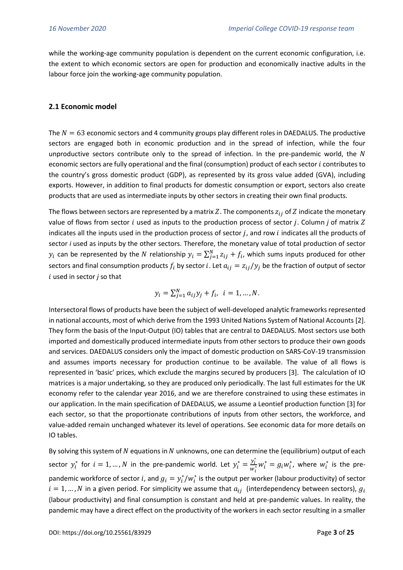while the working-age community population is dependent on the current economic configuration, i.e. the extent to which economic sectors are open for production and economically inactive adults in the labour force join the working-age community population.

#### **2.1 Economic model**

The  $N = 63$  economic sectors and 4 community groups play different roles in DAEDALUS. The productive sectors are engaged both in economic production and in the spread of infection, while the four unproductive sectors contribute only to the spread of infection. In the pre-pandemic world, the  $N$ economic sectors are fully operational and the final (consumption) product of each sector *i* contributes to the country's gross domestic product (GDP), as represented by its gross value added (GVA), including exports. However, in addition to final products for domestic consumption or export, sectors also create products that are used as intermediate inputs by other sectors in creating their own final products.

The flows between sectors are represented by a matrix Z. The components  $z_{ij}$  of Z indicate the monetary value of flows from sector  $i$  used as inputs to the production process of sector  $j$ . Column  $j$  of matrix  $Z$ indicates all the inputs used in the production process of sector  $j$ , and row  $i$  indicates all the products of sector *i* used as inputs by the other sectors. Therefore, the monetary value of total production of sector  $y_i$  can be represented by the  $N$  relationship  $y_i = \sum_{j=1}^N z_{ij} + f_i$ , which sums inputs produced for other sectors and final consumption products  $f_i$  by sector i. Let  $a_{ij} = z_{ij}/y_j$  be the fraction of output of sector used in sector *j* so that

$$
y_i = \sum_{j=1}^{N} a_{ij} y_j + f_i, \quad i = 1, ..., N.
$$

Intersectoral flows of products have been the subject of well-developed analytic frameworks represented in national accounts, most of which derive from the 1993 United Nations System of National Accounts [2]. They form the basis of the Input-Output (IO) tables that are central to DAEDALUS. Most sectors use both imported and domestically produced intermediate inputs from other sectors to produce their own goods and services. DAEDALUS considers only the impact of domestic production on SARS-CoV-19 transmission and assumes imports necessary for production continue to be available. The value of all flows is represented in 'basic' prices, which exclude the margins secured by producers [3]. The calculation of IO matrices is a major undertaking, so they are produced only periodically. The last full estimates for the UK economy refer to the calendar year 2016, and we are therefore constrained to using these estimates in our application. In the main specification of DAEDALUS, we assume a Leontief production function [3] for each sector, so that the proportionate contributions of inputs from other sectors, the workforce, and value-added remain unchanged whatever its level of operations. See economic data for more details on IO tables.

By solving this system of  $N$  equations in  $N$  unknowns, one can determine the (equilibrium) output of each sector  $y_i^*$  for  $i = 1, ..., N$  in the pre-pandemic world. Let  $y_i^* = \frac{y_i^*}{w_i^*}$  $\frac{\mathcal{Y}_i}{w_i^*} w_i^* = g_i w_i^*$ , where  $w_i^*$  is the prepandemic workforce of sector i, and  $g_i = y_i^* / w_i^*$  is the output per worker (labour productivity) of sector  $i = 1, ..., N$  in a given period. For simplicity we assume that  $a_{ij}$  (interdependency between sectors),  $g_i$ (labour productivity) and final consumption is constant and held at pre-pandemic values. In reality, the pandemic may have a direct effect on the productivity of the workers in each sector resulting in a smaller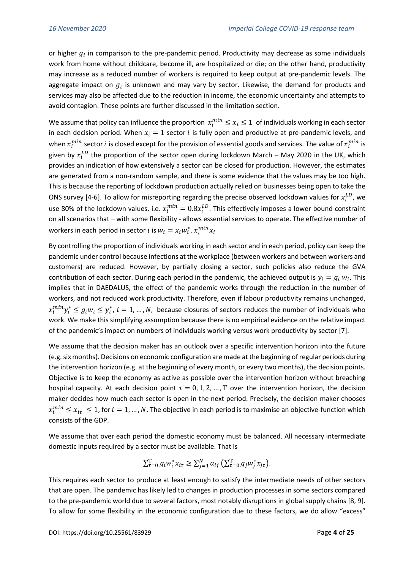or higher  $g_i$  in comparison to the pre-pandemic period. Productivity may decrease as some individuals work from home without childcare, become ill, are hospitalized or die; on the other hand, productivity may increase as a reduced number of workers is required to keep output at pre-pandemic levels. The aggregate impact on  $g_i$  is unknown and may vary by sector. Likewise, the demand for products and services may also be affected due to the reduction in income, the economic uncertainty and attempts to avoid contagion. These points are further discussed in the limitation section.

We assume that policy can influence the proportion  $x_i^{min} \leq x_i \leq 1$  of individuals working in each sector in each decision period. When  $x_i = 1$  sector *i* is fully open and productive at pre-pandemic levels, and when  $x_i^{min}$  sector  $i$  is closed except for the provision of essential goods and services. The value of  $x_i^{min}$  is given by  $x_i^{LD}$  the proportion of the sector open during lockdown March – May 2020 in the UK, which provides an indication of how extensively a sector can be closed for production. However, the estimates are generated from a non-random sample, and there is some evidence that the values may be too high. This is because the reporting of lockdown production actually relied on businesses being open to take the ONS survey [4-6]. To allow for misreporting regarding the precise observed lockdown values for  $x_i^{LD}$ , we use 80% of the lockdown values, i.e.  $x_i^{min} = 0.8x_i^{LD}$ . This effectively imposes a lower bound constraint on all scenarios that – with some flexibility - allows essential services to operate. The effective number of workers in each period in sector  $i$  is  $w_i = x_i w_i^*$ .  $x_i^{min} x_i$ 

By controlling the proportion of individuals working in each sector and in each period, policy can keep the pandemic under control because infections at the workplace (between workers and between workers and customers) are reduced. However, by partially closing a sector, such policies also reduce the GVA contribution of each sector. During each period in the pandemic, the achieved output is  $y_i = g_i w_i$ . This implies that in DAEDALUS, the effect of the pandemic works through the reduction in the number of workers, and not reduced work productivity. Therefore, even if labour productivity remains unchanged,  $x_i^{min} y_i^* \leq g_i w_i \leq y_i^*$ ,  $i = 1, ..., N$ , because closures of sectors reduces the number of individuals who work. We make this simplifying assumption because there is no empirical evidence on the relative impact of the pandemic's impact on numbers of individuals working versus work productivity by sector [7].

We assume that the decision maker has an outlook over a specific intervention horizon into the future (e.g. six months). Decisions on economic configuration are made at the beginning of regular periods during the intervention horizon (e.g. at the beginning of every month, or every two months), the decision points. Objective is to keep the economy as active as possible over the intervention horizon without breaching hospital capacity. At each decision point  $\tau = 0, 1, 2, ..., T$  over the intervention horizon, the decision maker decides how much each sector is open in the next period. Precisely, the decision maker chooses  $x_i^{min} \leq x_{i\tau} \leq 1$ , for  $i=1,...,N.$  The objective in each period is to maximise an objective-function which consists of the GDP.

We assume that over each period the domestic economy must be balanced. All necessary intermediate domestic inputs required by a sector must be available. That is

$$
\sum_{\tau=0}^{\mathcal{T}} g_i w_i^* x_{i\tau} \ge \sum_{j=1}^N a_{ij} \left( \sum_{\tau=0}^{\mathcal{T}} g_j w_j^* x_{j\tau} \right).
$$

This requires each sector to produce at least enough to satisfy the intermediate needs of other sectors that are open. The pandemic has likely led to changes in production processes in some sectors compared to the pre-pandemic world due to several factors, most notably disruptions in global supply chains [8, 9]. To allow for some flexibility in the economic configuration due to these factors, we do allow "excess"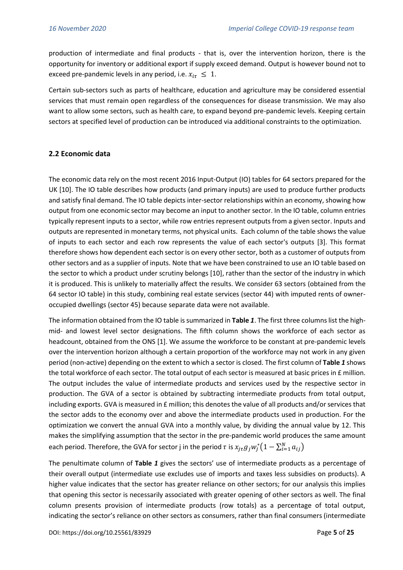production of intermediate and final products - that is, over the intervention horizon, there is the opportunity for inventory or additional export if supply exceed demand. Output is however bound not to exceed pre-pandemic levels in any period, i.e.  $x_{i\tau} \leq 1$ .

Certain sub-sectors such as parts of healthcare, education and agriculture may be considered essential services that must remain open regardless of the consequences for disease transmission. We may also want to allow some sectors, such as health care, to expand beyond pre-pandemic levels. Keeping certain sectors at specified level of production can be introduced via additional constraints to the optimization.

## **2.2 Economic data**

The economic data rely on the most recent 2016 Input-Output (IO) tables for 64 sectors prepared for the UK [10]. The IO table describes how products (and primary inputs) are used to produce further products and satisfy final demand. The IO table depicts inter-sector relationships within an economy, showing how output from one economic sector may become an input to another sector. In the IO table, column entries typically represent inputs to a sector, while row entries represent outputs from a given sector. Inputs and outputs are represented in monetary terms, not physical units. Each column of the table shows the value of inputs to each sector and each row represents the value of each sector's outputs [3]. This format therefore shows how dependent each sector is on every other sector, both as a customer of outputs from other sectors and as a supplier of inputs. Note that we have been constrained to use an IO table based on the sector to which a product under scrutiny belongs [10], rather than the sector of the industry in which it is produced. This is unlikely to materially affect the results. We consider 63 sectors (obtained from the 64 sector IO table) in this study, combining real estate services (sector 44) with imputed rents of owneroccupied dwellings (sector 45) because separate data were not available.

The information obtained from the IO table is summarized in **Table** *1*. The first three columns list the highmid- and lowest level sector designations. The fifth column shows the workforce of each sector as headcount, obtained from the ONS [1]. We assume the workforce to be constant at pre-pandemic levels over the intervention horizon although a certain proportion of the workforce may not work in any given period (non-active) depending on the extent to which a sector is closed. The first column of **Table** *1* shows the total workforce of each sector. The total output of each sector is measured at basic prices in £ million. The output includes the value of intermediate products and services used by the respective sector in production. The GVA of a sector is obtained by subtracting intermediate products from total output, including exports. GVA is measured in £ million; this denotes the value of all products and/or services that the sector adds to the economy over and above the intermediate products used in production. For the optimization we convert the annual GVA into a monthly value, by dividing the annual value by 12. This makes the simplifying assumption that the sector in the pre-pandemic world produces the same amount each period. Therefore, the GVA for sector j in the period  $\tau$  is  $x_{j\tau}g_jw_j^*\big(1-\sum_{i=1}^N a_{ij}\big)$ 

The penultimate column of **Table** *1* gives the sectors' use of intermediate products as a percentage of their overall output (intermediate use excludes use of imports and taxes less subsidies on products). A higher value indicates that the sector has greater reliance on other sectors; for our analysis this implies that opening this sector is necessarily associated with greater opening of other sectors as well. The final column presents provision of intermediate products (row totals) as a percentage of total output, indicating the sector's reliance on other sectors as consumers, rather than final consumers (intermediate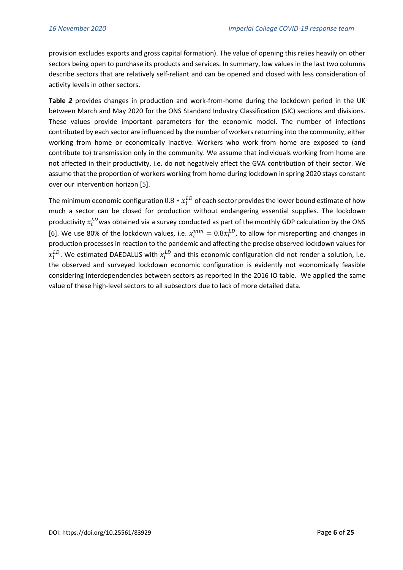provision excludes exports and gross capital formation). The value of opening this relies heavily on other sectors being open to purchase its products and services. In summary, low values in the last two columns describe sectors that are relatively self-reliant and can be opened and closed with less consideration of activity levels in other sectors.

**Table** *2* provides changes in production and work-from-home during the lockdown period in the UK between March and May 2020 for the ONS Standard Industry Classification (SIC) sections and divisions. These values provide important parameters for the economic model. The number of infections contributed by each sector are influenced by the number of workers returning into the community, either working from home or economically inactive. Workers who work from home are exposed to (and contribute to) transmission only in the community. We assume that individuals working from home are not affected in their productivity, i.e. do not negatively affect the GVA contribution of their sector. We assume that the proportion of workers working from home during lockdown in spring 2020 stays constant over our intervention horizon [5].

The minimum economic configuration  $0.8*\chi^{LD}_{i}$  of each sector provides the lower bound estimate of how much a sector can be closed for production without endangering essential supplies. The lockdown productivity  $x_i^{LD}$  was obtained via a survey conducted as part of the monthly GDP calculation by the ONS [6]. We use 80% of the lockdown values, i.e.  $x_i^{min} = 0.8x_i^{LD}$ , to allow for misreporting and changes in production processes in reaction to the pandemic and affecting the precise observed lockdown values for  $x_i^{LD}$ . We estimated DAEDALUS with  $x_i^{LD}$  and this economic configuration did not render a solution, i.e. the observed and surveyed lockdown economic configuration is evidently not economically feasible considering interdependencies between sectors as reported in the 2016 IO table. We applied the same value of these high-level sectors to all subsectors due to lack of more detailed data.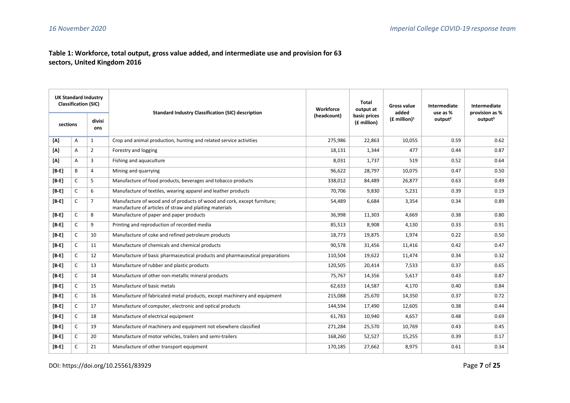## **Table 1: Workforce, total output, gross value added, and intermediate use and provision for 63 sectors, United Kingdom 2016**

| <b>UK Standard Industry</b><br><b>Classification (SIC)</b> |              |                | <b>Standard Industry Classification (SIC) description</b>                                                                          | Workforce | <b>Total</b><br>output at   | Gross value<br>added | Intermediate<br>use as % | Intermediate<br>provision as % |
|------------------------------------------------------------|--------------|----------------|------------------------------------------------------------------------------------------------------------------------------------|-----------|-----------------------------|----------------------|--------------------------|--------------------------------|
| divisi<br>sections<br>ons                                  |              |                |                                                                                                                                    |           | basic prices<br>(£ million) | $(E$ million $)^1$   | output <sup>2</sup>      | output <sup>3</sup>            |
| [A]                                                        | Α            | 1              | Crop and animal production, hunting and related service activities                                                                 | 275,986   | 22,863                      | 10,055               | 0.59                     | 0.62                           |
| [A]                                                        | A            | $\overline{2}$ | Forestry and logging                                                                                                               | 18,131    | 1,344                       | 477                  | 0.44                     | 0.87                           |
| [A]                                                        | A            | 3              | Fishing and aquaculture                                                                                                            | 8,031     | 1,737                       | 519                  | 0.52                     | 0.64                           |
| $[B-E]$                                                    | B            | 4              | Mining and quarrying                                                                                                               | 96,622    | 28,797                      | 10,075               | 0.47                     | 0.50                           |
| $[B-E]$                                                    | C            | 5              | Manufacture of food products, beverages and tobacco products                                                                       | 338,012   | 84,489                      | 26,877               | 0.63                     | 0.49                           |
| $[B - E]$                                                  | C            | 6              | Manufacture of textiles, wearing apparel and leather products                                                                      | 70,706    | 9,830                       | 5,231                | 0.39                     | 0.19                           |
| $[B - F]$                                                  | C            | $\overline{7}$ | Manufacture of wood and of products of wood and cork, except furniture;<br>manufacture of articles of straw and plaiting materials | 54,489    | 6,684                       | 3,354                | 0.34                     | 0.89                           |
| $[B - E]$                                                  | $\mathsf{C}$ | 8              | Manufacture of paper and paper products                                                                                            | 36,998    | 11,303                      | 4,669                | 0.38                     | 0.80                           |
| $[B - E]$                                                  | $\mathsf{C}$ | 9              | Printing and reproduction of recorded media                                                                                        | 85,513    | 8,908                       | 4,130                | 0.33                     | 0.91                           |
| $[B - E]$                                                  | C            | 10             | Manufacture of coke and refined petroleum products                                                                                 | 18,773    | 19,875                      | 1,974                | 0.22                     | 0.50                           |
| $[B - E]$                                                  | C            | 11             | Manufacture of chemicals and chemical products                                                                                     | 90,578    | 31,456                      | 11,416               | 0.42                     | 0.47                           |
| $[B - E]$                                                  | C            | 12             | Manufacture of basic pharmaceutical products and pharmaceutical preparations                                                       | 110,504   | 19,622                      | 11,474               | 0.34                     | 0.32                           |
| $[B-E]$                                                    | C            | 13             | Manufacture of rubber and plastic products                                                                                         | 120,505   | 20,414                      | 7,533                | 0.37                     | 0.65                           |
| $[B - E]$                                                  | C            | 14             | Manufacture of other non-metallic mineral products                                                                                 | 75,767    | 14,356                      | 5,617                | 0.43                     | 0.87                           |
| $[B-E]$                                                    | C            | 15             | Manufacture of basic metals                                                                                                        | 62,633    | 14,587                      | 4,170                | 0.40                     | 0.84                           |
| $[B - E]$                                                  | C            | 16             | Manufacture of fabricated metal products, except machinery and equipment                                                           | 215,088   | 25,670                      | 14,350               | 0.37                     | 0.72                           |
| $[B-E]$                                                    | C            | 17             | Manufacture of computer, electronic and optical products                                                                           | 144,594   | 17,490                      | 12,605               | 0.38                     | 0.44                           |
| $[B-E]$                                                    | C            | 18             | Manufacture of electrical equipment                                                                                                | 61,783    | 10,940                      | 4,657                | 0.48                     | 0.69                           |
| $[B-E]$                                                    | C            | 19             | Manufacture of machinery and equipment not elsewhere classified                                                                    | 271,284   | 25,570                      | 10,769               | 0.43                     | 0.45                           |
| $[B - E]$                                                  | C            | 20             | Manufacture of motor vehicles, trailers and semi-trailers                                                                          | 168,260   | 52,527                      | 15,255               | 0.39                     | 0.17                           |
| $[B - F]$                                                  | C            | 21             | Manufacture of other transport equipment                                                                                           | 170,185   | 27,662                      | 8,975                | 0.61                     | 0.34                           |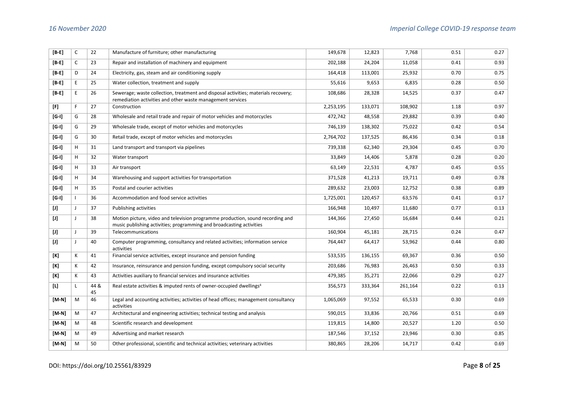| $[B-E]$                                                                                                                                                                                                                                                                                                                                                                                                                                                                                                                                                                                                                                                                                                                                                                                                                                                                             | $\mathsf{C}$ | 22         | Manufacture of furniture; other manufacturing                                                                                                          | 149,678   | 12,823  | 7,768   | 0.51 | 0.27 |
|-------------------------------------------------------------------------------------------------------------------------------------------------------------------------------------------------------------------------------------------------------------------------------------------------------------------------------------------------------------------------------------------------------------------------------------------------------------------------------------------------------------------------------------------------------------------------------------------------------------------------------------------------------------------------------------------------------------------------------------------------------------------------------------------------------------------------------------------------------------------------------------|--------------|------------|--------------------------------------------------------------------------------------------------------------------------------------------------------|-----------|---------|---------|------|------|
| $[B-E]$                                                                                                                                                                                                                                                                                                                                                                                                                                                                                                                                                                                                                                                                                                                                                                                                                                                                             | C            | 23         | Repair and installation of machinery and equipment                                                                                                     | 202,188   | 24,204  | 11,058  | 0.41 | 0.93 |
| $[B-E]$                                                                                                                                                                                                                                                                                                                                                                                                                                                                                                                                                                                                                                                                                                                                                                                                                                                                             | D            | 24         | Electricity, gas, steam and air conditioning supply                                                                                                    | 164,418   | 113,001 | 25,932  | 0.70 | 0.75 |
| $[B-E]$                                                                                                                                                                                                                                                                                                                                                                                                                                                                                                                                                                                                                                                                                                                                                                                                                                                                             | E            | 25         | Water collection, treatment and supply                                                                                                                 | 55,616    | 9,653   | 6,835   | 0.28 | 0.50 |
| $[B - E]$                                                                                                                                                                                                                                                                                                                                                                                                                                                                                                                                                                                                                                                                                                                                                                                                                                                                           | E            | 26         | Sewerage; waste collection, treatment and disposal activities; materials recovery;<br>remediation activities and other waste management services       | 108,686   | 28,328  | 14,525  | 0.37 | 0.47 |
| [F]                                                                                                                                                                                                                                                                                                                                                                                                                                                                                                                                                                                                                                                                                                                                                                                                                                                                                 | F            | 27         | Construction                                                                                                                                           | 2,253,195 | 133,071 | 108,902 | 1.18 | 0.97 |
| $[G-I]$                                                                                                                                                                                                                                                                                                                                                                                                                                                                                                                                                                                                                                                                                                                                                                                                                                                                             | G            | 28         | Wholesale and retail trade and repair of motor vehicles and motorcycles                                                                                | 472,742   | 48,558  | 29,882  | 0.39 | 0.40 |
| $[G-I]$                                                                                                                                                                                                                                                                                                                                                                                                                                                                                                                                                                                                                                                                                                                                                                                                                                                                             | G            | 29         | Wholesale trade, except of motor vehicles and motorcycles                                                                                              | 746,139   | 138,302 | 75,022  | 0.42 | 0.54 |
| $[G-I]$                                                                                                                                                                                                                                                                                                                                                                                                                                                                                                                                                                                                                                                                                                                                                                                                                                                                             | G            | 30         | Retail trade, except of motor vehicles and motorcycles                                                                                                 | 2,764,702 | 137,525 | 86,436  | 0.34 | 0.18 |
| $[G-I]$                                                                                                                                                                                                                                                                                                                                                                                                                                                                                                                                                                                                                                                                                                                                                                                                                                                                             | H            | 31         | Land transport and transport via pipelines                                                                                                             | 739,338   | 62,340  | 29,304  | 0.45 | 0.70 |
| $[G-I]$                                                                                                                                                                                                                                                                                                                                                                                                                                                                                                                                                                                                                                                                                                                                                                                                                                                                             | H            | 32         | Water transport                                                                                                                                        | 33,849    | 14,406  | 5,878   | 0.28 | 0.20 |
| $[G-I]$                                                                                                                                                                                                                                                                                                                                                                                                                                                                                                                                                                                                                                                                                                                                                                                                                                                                             | H            | 33         | Air transport                                                                                                                                          | 63,149    | 22,531  | 4,787   | 0.45 | 0.55 |
| $[G-I]$                                                                                                                                                                                                                                                                                                                                                                                                                                                                                                                                                                                                                                                                                                                                                                                                                                                                             | H            | 34         | Warehousing and support activities for transportation                                                                                                  | 371,528   | 41,213  | 19,711  | 0.49 | 0.78 |
| $[G-I]$                                                                                                                                                                                                                                                                                                                                                                                                                                                                                                                                                                                                                                                                                                                                                                                                                                                                             | H            | 35         | Postal and courier activities                                                                                                                          | 289,632   | 23,003  | 12,752  | 0.38 | 0.89 |
| $[G-1]$                                                                                                                                                                                                                                                                                                                                                                                                                                                                                                                                                                                                                                                                                                                                                                                                                                                                             | $\mathbf{I}$ | 36         | Accommodation and food service activities                                                                                                              | 1,725,001 | 120,457 | 63,576  | 0.41 | 0.17 |
| $[1] % \centering \includegraphics[width=0.9\textwidth]{images/TrDiM-Architecture.png} % \caption{The first two different values of $S$ and $S$ are shown in the left, the first two different values of $S$ and $S$ are shown in the right, and the second two different values of $S$ are shown in the right, and the second two different values of $S$ are shown in the right, and the third two different values of $S$ are shown in the right, and the third two different values of $S$ are shown in the right, and the third two different values of $S$ are shown in the right, and the third two different values of $S$ are shown in the right, and the third two different values of $S$ are shown in the right, and the third two different values of $S$ are shown in the right, and the third two different values of $S$ are shown in the right, and the third two$ | J            | 37         | Publishing activities                                                                                                                                  | 166,948   | 10,497  | 11,680  | 0.77 | 0.13 |
| $[1]$                                                                                                                                                                                                                                                                                                                                                                                                                                                                                                                                                                                                                                                                                                                                                                                                                                                                               | J            | 38         | Motion picture, video and television programme production, sound recording and<br>music publishing activities; programming and broadcasting activities | 144,366   | 27,450  | 16,684  | 0.44 | 0.21 |
| $[1] % \centering \includegraphics[width=0.9\textwidth]{images/TrDiM-Architecture.png} % \caption{The first two different values of $S$ and $S$ are shown in the left, the first two different values of $S$ and $S$ are shown in the right, and the second two different values of $S$ are shown in the right, and the second two different values of $S$ are shown in the right, and the third two different values of $S$ are shown in the right, and the third two different values of $S$ are shown in the right, and the third two different values of $S$ are shown in the right, and the third two different values of $S$ are shown in the right, and the third two different values of $S$ are shown in the right, and the third two different values of $S$ are shown in the right, and the third two different values of $S$ are shown in the right, and the third two$ | J            | 39         | Telecommunications                                                                                                                                     | 160,904   | 45,181  | 28,715  | 0.24 | 0.47 |
| $[1]$                                                                                                                                                                                                                                                                                                                                                                                                                                                                                                                                                                                                                                                                                                                                                                                                                                                                               | J            | 40         | Computer programming, consultancy and related activities; information service<br>activities                                                            | 764,447   | 64,417  | 53,962  | 0.44 | 0.80 |
| [K]                                                                                                                                                                                                                                                                                                                                                                                                                                                                                                                                                                                                                                                                                                                                                                                                                                                                                 | К            | 41         | Financial service activities, except insurance and pension funding                                                                                     | 533,535   | 136,155 | 69,367  | 0.36 | 0.50 |
| [K]                                                                                                                                                                                                                                                                                                                                                                                                                                                                                                                                                                                                                                                                                                                                                                                                                                                                                 | К            | 42         | Insurance, reinsurance and pension funding, except compulsory social security                                                                          | 203,686   | 76,983  | 26,463  | 0.50 | 0.33 |
| [K]                                                                                                                                                                                                                                                                                                                                                                                                                                                                                                                                                                                                                                                                                                                                                                                                                                                                                 | К            | 43         | Activities auxiliary to financial services and insurance activities                                                                                    | 479,385   | 35,271  | 22,066  | 0.29 | 0.27 |
| [L]                                                                                                                                                                                                                                                                                                                                                                                                                                                                                                                                                                                                                                                                                                                                                                                                                                                                                 | $\mathsf{L}$ | 44 &<br>45 | Real estate activities & imputed rents of owner-occupied dwellings <sup>4</sup>                                                                        | 356,573   | 333,364 | 261,164 | 0.22 | 0.13 |
| $[M-N]$                                                                                                                                                                                                                                                                                                                                                                                                                                                                                                                                                                                                                                                                                                                                                                                                                                                                             | M            | 46         | Legal and accounting activities; activities of head offices; management consultancy<br>activities                                                      | 1,065,069 | 97,552  | 65,533  | 0.30 | 0.69 |
| $[M-N]$                                                                                                                                                                                                                                                                                                                                                                                                                                                                                                                                                                                                                                                                                                                                                                                                                                                                             | M            | 47         | Architectural and engineering activities; technical testing and analysis                                                                               | 590,015   | 33,836  | 20,766  | 0.51 | 0.69 |
| $[M-N]$                                                                                                                                                                                                                                                                                                                                                                                                                                                                                                                                                                                                                                                                                                                                                                                                                                                                             | M            | 48         | Scientific research and development                                                                                                                    | 119,815   | 14,800  | 20,527  | 1.20 | 0.50 |
| $[M-N]$                                                                                                                                                                                                                                                                                                                                                                                                                                                                                                                                                                                                                                                                                                                                                                                                                                                                             | M            | 49         | Advertising and market research                                                                                                                        | 187,546   | 37,152  | 23,946  | 0.30 | 0.85 |
| $[M-N]$                                                                                                                                                                                                                                                                                                                                                                                                                                                                                                                                                                                                                                                                                                                                                                                                                                                                             | M            | 50         | Other professional, scientific and technical activities; veterinary activities                                                                         | 380,865   | 28,206  | 14,717  | 0.42 | 0.69 |

DOI: https://doi.org/10.25561/83929 Page **8** of **25**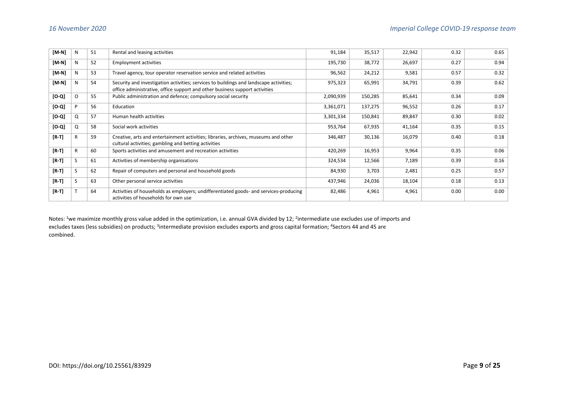| [M-N]   | N        | 51 | Rental and leasing activities                                                                                                                                         | 91,184    | 35,517  | 22,942 | 0.32 | 0.65 |
|---------|----------|----|-----------------------------------------------------------------------------------------------------------------------------------------------------------------------|-----------|---------|--------|------|------|
| [M-N]   | N        | 52 | <b>Employment activities</b>                                                                                                                                          | 195,730   | 38,772  | 26,697 | 0.27 | 0.94 |
| $[M-N]$ | N        | 53 | Travel agency, tour operator reservation service and related activities                                                                                               | 96,562    | 24,212  | 9,581  | 0.57 | 0.32 |
| [M-N]   | N        | 54 | Security and investigation activities; services to buildings and landscape activities;<br>office administrative, office support and other business support activities | 975,323   | 65,991  | 34,791 | 0.39 | 0.62 |
| $[0-0]$ | $\Omega$ | 55 | Public administration and defence; compulsory social security                                                                                                         | 2,090,939 | 150,285 | 85,641 | 0.34 | 0.09 |
| $[0-0]$ | P        | 56 | Education                                                                                                                                                             | 3,361,071 | 137,275 | 96,552 | 0.26 | 0.17 |
| [0.0]   | Q        | 57 | Human health activities                                                                                                                                               | 3,301,334 | 150,841 | 89,847 | 0.30 | 0.02 |
| $[0-0]$ | Q        | 58 | Social work activities                                                                                                                                                | 953,764   | 67,935  | 41,164 | 0.35 | 0.15 |
| $[R-T]$ | R        | 59 | Creative, arts and entertainment activities; libraries, archives, museums and other<br>cultural activities; gambling and betting activities                           | 346,487   | 30,136  | 16,079 | 0.40 | 0.18 |
| $[R-T]$ | R        | 60 | Sports activities and amusement and recreation activities                                                                                                             | 420,269   | 16,953  | 9,964  | 0.35 | 0.06 |
| $[R-T]$ | S        | 61 | Activities of membership organisations                                                                                                                                | 324,534   | 12,566  | 7,189  | 0.39 | 0.16 |
| $[R-T]$ | S        | 62 | Repair of computers and personal and household goods                                                                                                                  | 84,930    | 3,703   | 2,481  | 0.25 | 0.57 |
| $[R-T]$ |          | 63 | Other personal service activities                                                                                                                                     | 437,946   | 24,036  | 18,104 | 0.18 | 0.13 |
| $[R-T]$ |          | 64 | Activities of households as employers; undifferentiated goods- and services-producing<br>activities of households for own use                                         | 82,486    | 4,961   | 4,961  | 0.00 | 0.00 |

Notes: <sup>1</sup>we maximize monthly gross value added in the optimization, i.e. annual GVA divided by 12; <sup>2</sup>intermediate use excludes use of imports and excludes taxes (less subsidies) on products; <sup>3</sup>intermediate provision excludes exports and gross capital formation; <sup>4</sup>Sectors 44 and 45 are combined.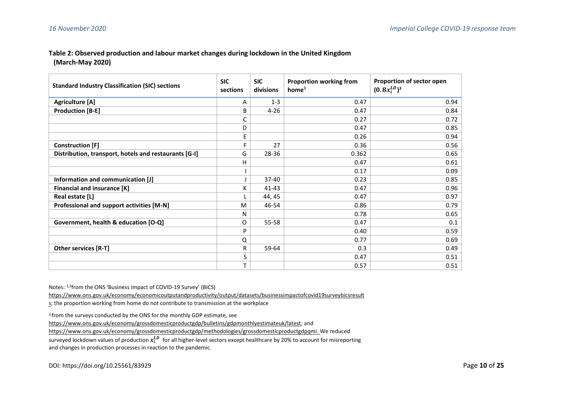#### **Table 2: Observed production and labour market changes during lockdown in the United Kingdom (March-May 2020)**

| <b>Standard Industry Classification (SIC) sections</b> | <b>SIC</b><br>sections | <b>SIC</b><br>divisions | <b>Proportion working from</b><br>home <sup>1</sup> | Proportion of sector open<br>$(0.8x_i^{LD})^3$ |
|--------------------------------------------------------|------------------------|-------------------------|-----------------------------------------------------|------------------------------------------------|
| <b>Agriculture [A]</b>                                 | A                      | $1 - 3$                 | 0.47                                                | 0.94                                           |
| <b>Production [B-E]</b>                                | B                      | $4 - 26$                | 0.47                                                | 0.84                                           |
|                                                        | С                      |                         | 0.27                                                | 0.72                                           |
|                                                        | D                      |                         | 0.47                                                | 0.85                                           |
|                                                        | E                      |                         | 0.26                                                | 0.94                                           |
| <b>Construction [F]</b>                                | F                      | 27                      | 0.36                                                | 0.56                                           |
| Distribution, transport, hotels and restaurants [G-I]  | G                      | 28-36                   | 0.362                                               | 0.65                                           |
|                                                        | н                      |                         | 0.47                                                | 0.61                                           |
|                                                        |                        |                         | 0.17                                                | 0.09                                           |
| Information and communication [J]                      |                        | $37 - 40$               | 0.23                                                | 0.85                                           |
| Financial and insurance [K]                            | ĸ                      | $41 - 43$               | 0.47                                                | 0.96                                           |
| Real estate [L]                                        |                        | 44, 45                  | 0.47                                                | 0.97                                           |
| Professional and support activities [M-N]              | M                      | 46-54                   | 0.86                                                | 0.79                                           |
|                                                        | N                      |                         | 0.78                                                | 0.65                                           |
| Government, health & education [O-Q]                   | 0                      | 55-58                   | 0.47                                                | 0.1                                            |
|                                                        | P                      |                         | 0.40                                                | 0.59                                           |
|                                                        | Q                      |                         | 0.77                                                | 0.69                                           |
| Other services [R-T]                                   | R                      | 59-64                   | 0.3                                                 | 0.49                                           |
|                                                        | S                      |                         | 0.47                                                | 0.51                                           |
|                                                        | T                      |                         | 0.57                                                | 0.51                                           |

Notes: 1,2from the ONS 'Business Impact of COVID-19 Survey' (BICS)

[https://www.ons.gov.uk/economy/economicoutputandproductivity/output/datasets/businessimpactofcovid19surveybicsresult](https://www.ons.gov.uk/economy/economicoutputandproductivity/output/datasets/businessimpactofcovid19surveybicsresults)

[s;](https://www.ons.gov.uk/economy/economicoutputandproductivity/output/datasets/businessimpactofcovid19surveybicsresults) the proportion working from home do not contribute to transmission at the workplace

<sup>3</sup> from the surveys conducted by the ONS for the monthly GDP estimate, see

[https://www.ons.gov.uk/economy/grossdomesticproductgdp/bulletins/gdpmonthlyestimateuk/latest;](https://www.ons.gov.uk/economy/grossdomesticproductgdp/bulletins/gdpmonthlyestimateuk/latest) and

[https://www.ons.gov.uk/economy/grossdomesticproductgdp/methodologies/grossdomesticproductgdpqmi.](https://www.ons.gov.uk/economy/grossdomesticproductgdp/methodologies/grossdomesticproductgdpqmi) We reduced

surveyed lockdown values of production  $x_i^{LD}$  for all higher-level sectors except healthcare by 20% to account for misreporting and changes in production processes in reaction to the pandemic.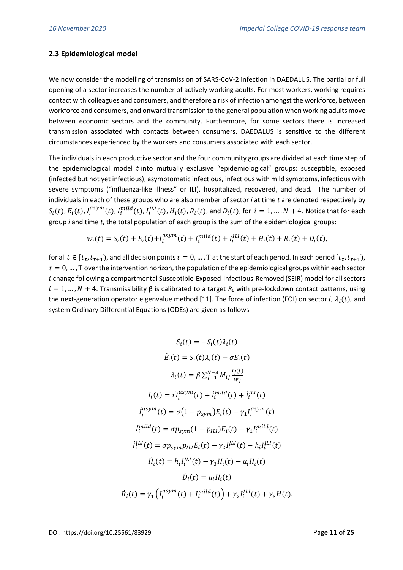## **2.3 Epidemiological model**

We now consider the modelling of transmission of SARS-CoV-2 infection in DAEDALUS. The partial or full opening of a sector increases the number of actively working adults. For most workers, working requires contact with colleagues and consumers, and therefore a risk of infection amongst the workforce, between workforce and consumers, and onward transmission to the general population when working adults move between economic sectors and the community. Furthermore, for some sectors there is increased transmission associated with contacts between consumers. DAEDALUS is sensitive to the different circumstances experienced by the workers and consumers associated with each sector.

The individuals in each productive sector and the four community groups are divided at each time step of the epidemiological model  $t$  into mutually exclusive "epidemiological" groups: susceptible, exposed (infected but not yet infectious), asymptomatic infectious, infectious with mild symptoms, infectious with severe symptoms ("influenza-like illness" or ILI), hospitalized, recovered, and dead. The number of individuals in each of these groups who are also member of sector *i* at time *t* are denoted respectively by  $S_i(t)$ ,  $E_i(t)$ ,  $I_i^{asym}(t)$ ,  $I_i^{mild}(t)$ ,  $I_i^{LLI}(t)$ ,  $H_i(t)$ ,  $R_i(t)$ , and  $D_i(t)$ , for  $i = 1, ..., N + 4$ . Notice that for each group *i* and time *t*, the total population of each group is the sum of the epidemiological groups:

$$
w_i(t) = S_i(t) + E_i(t) + I_i^{asym}(t) + I_i^{mild}(t) + I_i^{LL}(t) + H_i(t) + R_i(t) + D_i(t),
$$

for all  $t \in [t_\tau, t_{\tau+1})$ , and all decision points  $\tau=0,...$  , T at the start of each period. In each period  $[t_\tau, t_{\tau+1})$ ,  $\tau = 0, \ldots$ , T over the intervention horizon, the population of the epidemiological groups within each sector i change following a compartmental Susceptible-Exposed-Infectious-Removed (SEIR) model for all sectors  $i = 1, ..., N + 4$ . Transmissibility  $\beta$  is calibrated to a target  $R_0$  with pre-lockdown contact patterns, using the next-generation operator eigenvalue method [11]. The force of infection (FOI) on sector *i,*  $\lambda_i(t)$ *,* and system Ordinary Differential Equations (ODEs) are given as follows

$$
\dot{S}_i(t) = -S_i(t)\lambda_i(t)
$$
\n
$$
\dot{E}_i(t) = S_i(t)\lambda_i(t) - \sigma E_i(t)
$$
\n
$$
\lambda_i(t) = \beta \sum_{j=1}^{N+4} M_{ij} \frac{l_j(t)}{w_j}
$$
\n
$$
I_i(t) = rI_i^{asym}(t) + i_i^{mild}(t) + i_i^{LL}(t)
$$
\n
$$
i_i^{asym}(t) = \sigma(1 - p_{sym})E_i(t) - \gamma_1 I_i^{asym}(t)
$$
\n
$$
i_i^{mild}(t) = \sigma p_{sym}(1 - p_{LL})E_i(t) - \gamma_1 I_i^{mild}(t)
$$
\n
$$
i_i^{LL}(t) = \sigma p_{sym}p_{LL}E_i(t) - \gamma_2 I_i^{LL}(t) - h_i I_i^{LL}(t)
$$
\n
$$
\dot{H}_i(t) = h_i I_i^{LL}(t) - \gamma_3 H_i(t) - \mu_i H_i(t)
$$
\n
$$
\dot{D}_i(t) = \mu_i H_i(t)
$$
\n
$$
\dot{R}_i(t) = \gamma_1 \left( I_i^{asym}(t) + I_i^{mild}(t) \right) + \gamma_2 I_i^{LL}(t) + \gamma_3 H(t).
$$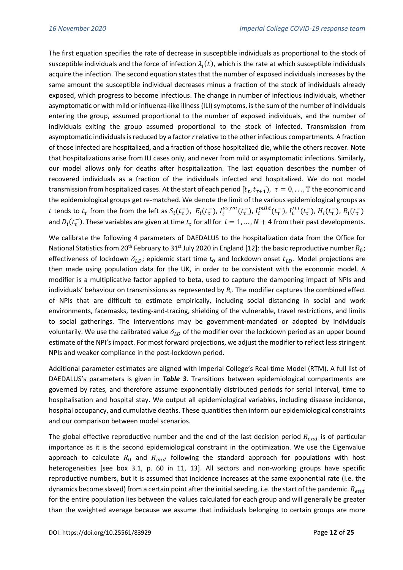The first equation specifies the rate of decrease in susceptible individuals as proportional to the stock of susceptible individuals and the force of infection  $\lambda_i(t)$ , which is the rate at which susceptible individuals acquire the infection. The second equation states that the number of exposed individuals increases by the same amount the susceptible individual decreases minus a fraction of the stock of individuals already exposed, which progress to become infectious. The change in number of infectious individuals, whether asymptomatic or with mild or influenza-like illness (ILI) symptoms, is the sum of the number of individuals entering the group, assumed proportional to the number of exposed individuals, and the number of individuals exiting the group assumed proportional to the stock of infected. Transmission from asymptomatic individuals is reduced by a factor *r* relative to the other infectious compartments. A fraction of those infected are hospitalized, and a fraction of those hospitalized die, while the others recover. Note that hospitalizations arise from ILI cases only, and never from mild or asymptomatic infections. Similarly, our model allows only for deaths after hospitalization. The last equation describes the number of recovered individuals as a fraction of the individuals infected and hospitalized. We do not model transmission from hospitalized cases. At the start of each period  $[t_\tau,t_{\tau+1}),\,\,\tau=0,\dots$  , T the economic and the epidemiological groups get re-matched. We denote the limit of the various epidemiological groups as t tends to  $t_\tau$  from the from the left as  $S_i(t_\tau^-)$ ,  $E_i(t_\tau^-)$ ,  $I_i^{asym}(t_\tau^-)$ ,  $I_i^{mild}(t_\tau^-)$ ,  $I_i^{LLI}(t_\tau^-)$ ,  $H_i(t_\tau^-)$ ,  $R_i(t_\tau^-)$ and  $D_i(t_i^-)$ . These variables are given at time  $t_\tau$  for all for  $i=1,...,N+4$  from their past developments.

We calibrate the following 4 parameters of DAEDALUS to the hospitalization data from the Office for National Statistics from 20<sup>th</sup> February to 31<sup>st</sup> July 2020 in England [12]: the basic reproductive number  $R_0$ ; effectiveness of lockdown  $\delta_{LD}$ ; epidemic start time  $t_0$  and lockdown onset  $t_{LD}$ . Model projections are then made using population data for the UK, in order to be consistent with the economic model. A modifier is a multiplicative factor applied to beta, used to capture the dampening impact of NPIs and individuals' behaviour on transmissions as represented by *Rt*. The modifier captures the combined effect of NPIs that are difficult to estimate empirically, including social distancing in social and work environments, facemasks, testing-and-tracing, shielding of the vulnerable, travel restrictions, and limits to social gatherings. The interventions may be government-mandated or adopted by individuals voluntarily. We use the calibrated value  $\delta_{LD}$  of the modifier over the lockdown period as an upper bound estimate of the NPI's impact. For most forward projections, we adjust the modifier to reflect less stringent NPIs and weaker compliance in the post-lockdown period.

Additional parameter estimates are aligned with Imperial College's Real-time Model (RTM). A full list of DAEDALUS's parameters is given in *Table 3*. Transitions between epidemiological compartments are governed by rates, and therefore assume exponentially distributed periods for serial interval, time to hospitalisation and hospital stay. We output all epidemiological variables, including disease incidence, hospital occupancy, and cumulative deaths. These quantities then inform our epidemiological constraints and our comparison between model scenarios.

The global effective reproductive number and the end of the last decision period  $R_{end}$  is of particular importance as it is the second epidemiological constraint in the optimization. We use the Eigenvalue approach to calculate  $R_0$  and  $R_{end}$  following the standard approach for populations with host heterogeneities [see box 3.1, p. 60 in 11, 13]. All sectors and non-working groups have specific reproductive numbers, but it is assumed that incidence increases at the same exponential rate (i.e. the dynamics become slaved) from a certain point after the initial seeding, i.e. the start of the pandemic.  $R_{end}$ for the entire population lies between the values calculated for each group and will generally be greater than the weighted average because we assume that individuals belonging to certain groups are more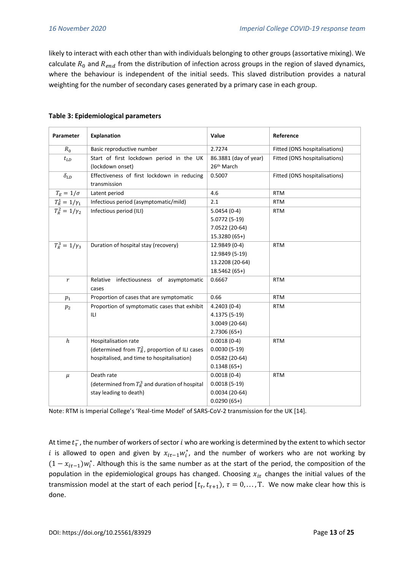likely to interact with each other than with individuals belonging to other groups (assortative mixing). We calculate  $R_0$  and  $R_{end}$  from the distribution of infection across groups in the region of slaved dynamics, where the behaviour is independent of the initial seeds. This slaved distribution provides a natural weighting for the number of secondary cases generated by a primary case in each group.

| Parameter                       | <b>Explanation</b>                                          | Value                  | Reference                     |
|---------------------------------|-------------------------------------------------------------|------------------------|-------------------------------|
| $R_0$                           | Basic reproductive number                                   | 2.7274                 | Fitted (ONS hospitalisations) |
| $t_{LD}$                        | Start of first lockdown period in the UK                    | 86.3881 (day of year)  | Fitted (ONS hospitalisations) |
|                                 | (lockdown onset)                                            | 26 <sup>th</sup> March |                               |
| $\delta_{LD}$                   | Effectiveness of first lockdown in reducing<br>transmission | 0.5007                 | Fitted (ONS hospitalisations) |
| $T_E = 1/\sigma$                | Latent period                                               | 4.6                    | <b>RTM</b>                    |
| $T_R^1=1/\gamma_1$              | Infectious period (asymptomatic/mild)                       | 2.1                    | <b>RTM</b>                    |
| $\overline{T_R^2} = 1/\gamma_2$ | Infectious period (ILI)                                     | $5.0454(0-4)$          | <b>RTM</b>                    |
|                                 |                                                             | 5.0772 (5-19)          |                               |
|                                 |                                                             | 7.0522 (20-64)         |                               |
|                                 |                                                             | 15.3280 (65+)          |                               |
| $T_R^3 = 1/\gamma_3$            | Duration of hospital stay (recovery)                        | 12.9849 (0-4)          | <b>RTM</b>                    |
|                                 |                                                             | 12.9849 (5-19)         |                               |
|                                 |                                                             | 13.2208 (20-64)        |                               |
|                                 |                                                             | 18.5462 (65+)          |                               |
| r                               | Relative<br>infectiousness of asymptomatic<br>cases         | 0.6667                 | <b>RTM</b>                    |
| $p_1$                           | Proportion of cases that are symptomatic                    | 0.66                   | <b>RTM</b>                    |
| $p_2$                           | Proportion of symptomatic cases that exhibit                | $4.2403(0-4)$          | <b>RTM</b>                    |
|                                 | ILI                                                         | 4.1375 (5-19)          |                               |
|                                 |                                                             | 3.0049 (20-64)         |                               |
|                                 |                                                             | $2.7306(65+)$          |                               |
| $\boldsymbol{h}$                | Hospitalisation rate                                        | $0.0018(0-4)$          | <b>RTM</b>                    |
|                                 | (determined from $T_R^2$ , proportion of ILI cases          | $0.0030(5-19)$         |                               |
|                                 | hospitalised, and time to hospitalisation)                  | $0.0582(20-64)$        |                               |
|                                 |                                                             | $0.1348(65+)$          |                               |
| $\mu$                           | Death rate                                                  | $0.0018(0-4)$          | <b>RTM</b>                    |
|                                 | (determined from $T_R^3$ and duration of hospital           | $0.0018(5-19)$         |                               |
|                                 | stay leading to death)                                      | $0.0034(20-64)$        |                               |
|                                 |                                                             | $0.0290(65+)$          |                               |

#### **Table 3: Epidemiological parameters**

Note: RTM is Imperial College's 'Real-time Model' of SARS-CoV-2 transmission for the UK [14].

At time  $t_{\tau}^{-}$ , the number of workers of sector  $i$  who are working is determined by the extent to which sector i is allowed to open and given by  $x_{it-1}w_i^*$ , and the number of workers who are not working by  $(1 - x_{it-1})w_i^*$ . Although this is the same number as at the start of the period, the composition of the population in the epidemiological groups has changed. Choosing  $x_{i\tau}$  changes the initial values of the transmission model at the start of each period  $[t_{\tau}, t_{\tau+1})$ ,  $\tau = 0, ..., T$ . We now make clear how this is done.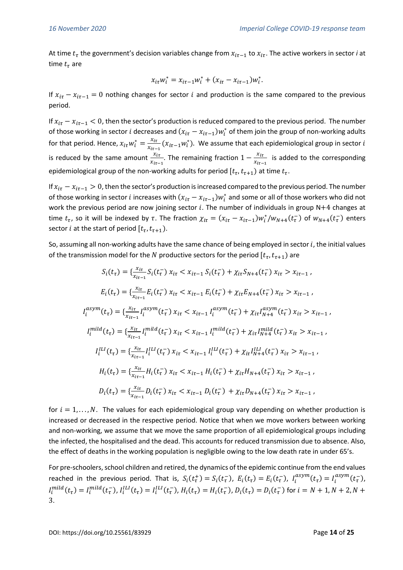At time  $t_{\tau}$  the government's decision variables change from  $x_{it-1}$  to  $x_{it}$ . The active workers in sector *i* at time  $t_{\tau}$  are

$$
x_{i\tau}w_i^* = x_{i\tau-1}w_i^* + (x_{i\tau} - x_{i\tau-1})w_i^*.
$$

If  $x_{i\tau} - x_{i\tau-1} = 0$  nothing changes for sector *i* and production is the same compared to the previous period.

If  $x_{i\tau}-x_{i\tau-1} < 0$ , then the sector's production is reduced compared to the previous period. The number of those working in sector *i* decreases and  $(x_{i\tau}-x_{i\tau-1})w_i^*$  of them join the group of non-working adults for that period. Hence,  $x_{i\tau}w_i^* = \frac{x_{i\tau}}{x_{i\tau}}$  $\frac{x_{it}}{x_{it-1}}(x_{it-1}w_i^*)$ . We assume that each epidemiological group in sector  $i$ is reduced by the same amount  $\frac{x_{it}}{x_{it-1}}$ . The remaining fraction  $1-\frac{x_{it}}{x_{it-1}}$  $\frac{\lambda_{\text{tr}}}{\lambda_{\text{tr}-1}}$  is added to the corresponding epidemiological group of the non-working adults for period  $[t_{\tau}, t_{\tau+1})$  at time  $t_{\tau}.$ 

If  $x_{i\tau} - x_{i\tau-1} > 0$ , then the sector's production is increased compared to the previous period. The number of those working in sector *i* increases with  $(x_{i\tau}-x_{i\tau-1})w_i^*$  and some or all of those workers who did not work the previous period are now joining sector  $i$ . The number of individuals in group N+4 changes at time  $t_{\tau}$ , so it will be indexed by  $\tau$ . The fraction  $\chi_{i\tau}=(x_{i\tau}-x_{i\tau-1})w_i^*/w_{N+4}(t_{\tau}^-)$  of  $w_{N+4}(t_{\tau}^-)$  enters sector *i* at the start of period  $[t_{\tau}, t_{\tau+1})$ .

So, assuming all non-working adults have the same chance of being employed in sector  $i$ , the initial values of the transmission model for the N productive sectors for the period  $[t_{\tau}, t_{\tau+1})$  are

$$
S_i(t_{\tau}) = \{ \frac{x_{it}}{x_{it-1}} S_i(t_{\tau}) x_{it} < x_{it-1} S_i(t_{\tau}) + \chi_{it} S_{N+4}(t_{\tau}) x_{it} > x_{it-1},
$$
\n
$$
E_i(t_{\tau}) = \{ \frac{x_{it}}{x_{it-1}} E_i(t_{\tau}) x_{it} < x_{it-1} E_i(t_{\tau}) + \chi_{it} E_{N+4}(t_{\tau}) x_{it} > x_{it-1},
$$
\n
$$
I_i^{asym}(t_{\tau}) = \{ \frac{x_{it}}{x_{it-1}} I_i^{asym}(t_{\tau}) x_{it} < x_{it-1} I_i^{asym}(t_{\tau}) + \chi_{it} I_{N+4}^{asym}(t_{\tau}) x_{it} > x_{it-1},
$$
\n
$$
I_i^{mild}(t_{\tau}) = \{ \frac{x_{it}}{x_{it-1}} I_i^{mild}(t_{\tau}) x_{it} < x_{it-1} I_i^{mild}(t_{\tau}) + \chi_{it} I_{N+4}^{mild}(t_{\tau}) x_{it} > x_{it-1},
$$
\n
$$
I_i^{LLI}(t_{\tau}) = \{ \frac{x_{it}}{x_{it-1}} I_i^{LLI}(t_{\tau}) x_{it} < x_{it-1} I_i^{LLI}(t_{\tau}) + \chi_{it} I_{N+4}^{LLI}(t_{\tau}) x_{it} > x_{it-1},
$$
\n
$$
H_i(t_{\tau}) = \{ \frac{x_{it}}{x_{it-1}} H_i(t_{\tau}) x_{it} < x_{it-1} H_i(t_{\tau}) + \chi_{it} H_{N+4}(t_{\tau}) x_{it} > x_{it-1},
$$
\n
$$
D_i(t_{\tau}) = \{ \frac{x_{it}}{x_{it-1}} D_i(t_{\tau}) x_{it} < x_{it-1} D_i(t_{\tau}) + \chi_{it} D_{N+4}(t_{\tau}) x_{it} > x_{it-1},
$$

for  $i = 1, \ldots, N$ . The values for each epidemiological group vary depending on whether production is increased or decreased in the respective period. Notice that when we move workers between working and non-working, we assume that we move the same proportion of all epidemiological groups including the infected, the hospitalised and the dead. This accounts for reduced transmission due to absence. Also, the effect of deaths in the working population is negligible owing to the low death rate in under 65's.

For pre-schoolers, school children and retired, the dynamics of the epidemic continue from the end values reached in the previous period. That is,  $S_i(t_\tau^+) = S_i(t_\tau^-)$ ,  $E_i(t_\tau) = E_i(t_\tau^-)$ ,  $I_i^{asym}(t_\tau) = I_i^{asym}(t_\tau^-)$ ,  $I_i^{mild}(t_\tau) = I_i^{mild}(t_\tau^-)$ ,  $I_i^{LL}(t_\tau) = I_i^{LL}(t_\tau^-)$ ,  $H_i(t_\tau) = H_i(t_\tau^-)$ ,  $D_i(t_\tau) = D_i(t_\tau^-)$  for  $i = N + 1$ ,  $N + 2$ ,  $N + 1$ 3.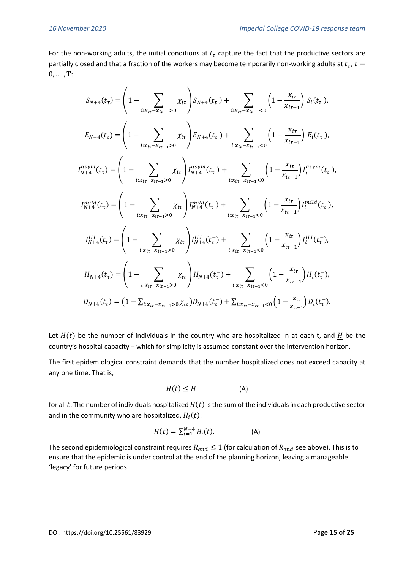For the non-working adults, the initial conditions at  $t<sub>\tau</sub>$  capture the fact that the productive sectors are partially closed and that a fraction of the workers may become temporarily non-working adults at  $t_{\tau}$ ,  $\tau$  =  $0, \ldots, T$ :

$$
S_{N+4}(t_{\tau}) = \left(1 - \sum_{i: x_{i\tau} - x_{i\tau-1} > 0} \chi_{it}\right) S_{N+4}(t_{\tau}) + \sum_{i: x_{i\tau} - x_{i\tau-1} < 0} \left(1 - \frac{x_{i\tau}}{x_{i\tau-1}}\right) S_{i}(t_{\tau}^{-}),
$$
\n
$$
E_{N+4}(t_{\tau}) = \left(1 - \sum_{i: x_{i\tau} - x_{i\tau-1} > 0} \chi_{it}\right) E_{N+4}(t_{\tau}) + \sum_{i: x_{i\tau} - x_{i\tau-1} < 0} \left(1 - \frac{x_{i\tau}}{x_{i\tau-1}}\right) E_{i}(t_{\tau}^{-}),
$$
\n
$$
I_{N+4}^{asym}(t_{\tau}) = \left(1 - \sum_{i: x_{i\tau} - x_{i\tau-1} > 0} \chi_{it}\right) I_{N+4}^{asym}(t_{\tau}) + \sum_{i: x_{i\tau} - x_{i\tau-1} < 0} \left(1 - \frac{x_{i\tau}}{x_{i\tau-1}}\right) I_{i}^{asym}(t_{\tau}^{-}),
$$
\n
$$
I_{N+4}^{mild}(t_{\tau}) = \left(1 - \sum_{i: x_{i\tau} - x_{i\tau-1} > 0} \chi_{it}\right) I_{N+4}^{mild}(t_{\tau}^{-}) + \sum_{i: x_{i\tau} - x_{i\tau-1} < 0} \left(1 - \frac{x_{i\tau}}{x_{i\tau-1}}\right) I_{i}^{mild}(t_{\tau}^{-}),
$$
\n
$$
I_{N+4}^{lLI}(t_{\tau}) = \left(1 - \sum_{i: x_{i\tau} - x_{i\tau-1} > 0} \chi_{it}\right) I_{N+4}^{lLI}(t_{\tau}^{-}) + \sum_{i: x_{i\tau} - x_{i\tau-1} < 0} \left(1 - \frac{x_{i\tau}}{x_{i\tau-1}}\right) I_{i}^{lLI}(t_{\tau}^{-}),
$$
\n
$$
H_{N+4}(t_{\tau}) = \left(1 - \sum_{i: x_{i\tau} - x_{i\tau-1} > 0} \chi_{it}\right) H_{N+4}(t_{\tau}^{-}) + \sum_{i: x_{
$$

Let  $H(t)$  be the number of individuals in the country who are hospitalized in at each t, and H be the country's hospital capacity – which for simplicity is assumed constant over the intervention horizon.

The first epidemiological constraint demands that the number hospitalized does not exceed capacity at any one time. That is,

$$
H(t) \le \underline{H} \tag{A}
$$

for all t. The number of individuals hospitalized  $H(t)$  is the sum of the individuals in each productive sector and in the community who are hospitalized,  $H_i(t)$ :

$$
H(t) = \sum_{i=1}^{N+4} H_i(t).
$$
 (A)

The second epidemiological constraint requires  $R_{end} \leq 1$  (for calculation of  $R_{end}$  see above). This is to ensure that the epidemic is under control at the end of the planning horizon, leaving a manageable 'legacy' for future periods.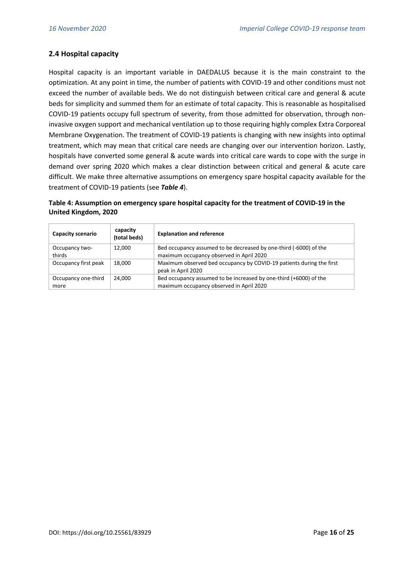## **2.4 Hospital capacity**

Hospital capacity is an important variable in DAEDALUS because it is the main constraint to the optimization. At any point in time, the number of patients with COVID-19 and other conditions must not exceed the number of available beds. We do not distinguish between critical care and general & acute beds for simplicity and summed them for an estimate of total capacity. This is reasonable as hospitalised COVID-19 patients occupy full spectrum of severity, from those admitted for observation, through noninvasive oxygen support and mechanical ventilation up to those requiring highly complex Extra Corporeal Membrane Oxygenation. The treatment of COVID-19 patients is changing with new insights into optimal treatment, which may mean that critical care needs are changing over our intervention horizon. Lastly, hospitals have converted some general & acute wards into critical care wards to cope with the surge in demand over spring 2020 which makes a clear distinction between critical and general & acute care difficult. We make three alternative assumptions on emergency spare hospital capacity available for the treatment of COVID-19 patients (see *Table 4*).

**Table 4: Assumption on emergency spare hospital capacity for the treatment of COVID-19 in the United Kingdom, 2020**

| Capacity scenario    | capacity<br>(total beds) | <b>Explanation and reference</b>                                     |
|----------------------|--------------------------|----------------------------------------------------------------------|
| Occupancy two-       | 12.000                   | Bed occupancy assumed to be decreased by one-third (-6000) of the    |
| thirds               |                          | maximum occupancy observed in April 2020                             |
| Occupancy first peak | 18.000                   | Maximum observed bed occupancy by COVID-19 patients during the first |
|                      |                          | peak in April 2020                                                   |
| Occupancy one-third  | 24.000                   | Bed occupancy assumed to be increased by one-third (+6000) of the    |
| more                 |                          | maximum occupancy observed in April 2020                             |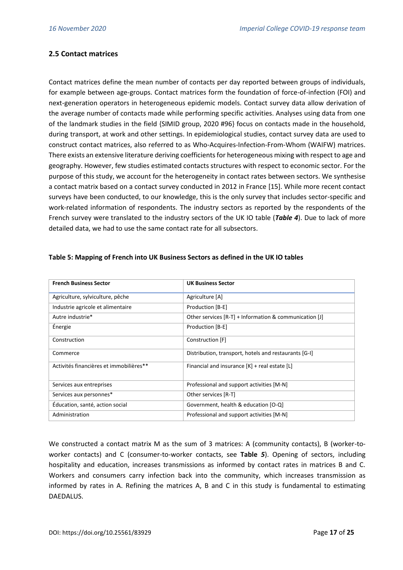#### **2.5 Contact matrices**

Contact matrices define the mean number of contacts per day reported between groups of individuals, for example between age-groups. Contact matrices form the foundation of force-of-infection (FOI) and next-generation operators in heterogeneous epidemic models. Contact survey data allow derivation of the average number of contacts made while performing specific activities. Analyses using data from one of the landmark studies in the field {SIMID group, 2020 #96} focus on contacts made in the household, during transport, at work and other settings. In epidemiological studies, contact survey data are used to construct contact matrices, also referred to as Who-Acquires-Infection-From-Whom (WAIFW) matrices. There exists an extensive literature deriving coefficients for heterogeneous mixing with respect to age and geography. However, few studies estimated contacts structures with respect to economic sector. For the purpose of this study, we account for the heterogeneity in contact rates between sectors. We synthesise a contact matrix based on a contact survey conducted in 2012 in France [15]. While more recent contact surveys have been conducted, to our knowledge, this is the only survey that includes sector-specific and work-related information of respondents. The industry sectors as reported by the respondents of the French survey were translated to the industry sectors of the UK IO table (*Table 4*). Due to lack of more detailed data, we had to use the same contact rate for all subsectors.

| <b>French Business Sector</b>           | <b>UK Business Sector</b>                                |  |  |
|-----------------------------------------|----------------------------------------------------------|--|--|
| Agriculture, sylviculture, pêche        | Agriculture [A]                                          |  |  |
| Industrie agricole et alimentaire       | Production [B-E]                                         |  |  |
| Autre industrie*                        | Other services $[R-T]$ + Information & communication [J] |  |  |
| Energie                                 | Production [B-E]                                         |  |  |
| Construction                            | Construction [F]                                         |  |  |
| Commerce                                | Distribution, transport, hotels and restaurants [G-I]    |  |  |
| Activités financières et immobilières** | Financial and insurance $[K]$ + real estate $[L]$        |  |  |
| Services aux entreprises                | Professional and support activities [M-N]                |  |  |
| Services aux personnes*                 | Other services [R-T]                                     |  |  |
| Éducation, santé, action social         | Government, health & education [O-Q]                     |  |  |
| Administration                          | Professional and support activities [M-N]                |  |  |

#### **Table 5: Mapping of French into UK Business Sectors as defined in the UK IO tables**

We constructed a contact matrix M as the sum of 3 matrices: A (community contacts), B (worker-toworker contacts) and C (consumer-to-worker contacts, see **Table** *5*). Opening of sectors, including hospitality and education, increases transmissions as informed by contact rates in matrices B and C. Workers and consumers carry infection back into the community, which increases transmission as informed by rates in A. Refining the matrices A, B and C in this study is fundamental to estimating DAEDALUS.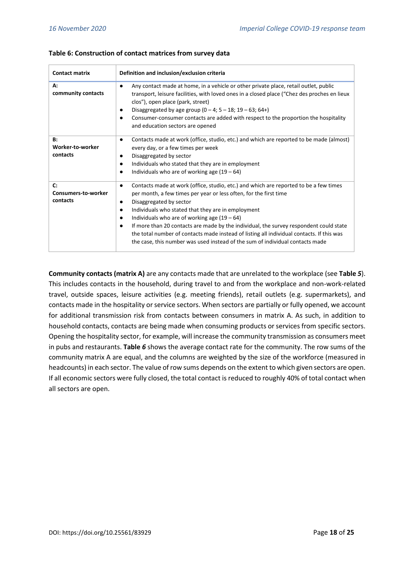| <b>Contact matrix</b>                        | Definition and inclusion/exclusion criteria                                                                                                                                                                                                                                                                                                                                                                                                                                                                                                                                                                       |
|----------------------------------------------|-------------------------------------------------------------------------------------------------------------------------------------------------------------------------------------------------------------------------------------------------------------------------------------------------------------------------------------------------------------------------------------------------------------------------------------------------------------------------------------------------------------------------------------------------------------------------------------------------------------------|
| А:<br>community contacts                     | Any contact made at home, in a vehicle or other private place, retail outlet, public<br>$\bullet$<br>transport, leisure facilities, with loved ones in a closed place ("Chez des proches en lieux<br>clos"), open place (park, street)<br>Disaggregated by age group $(0 - 4; 5 - 18; 19 - 63; 64+)$<br>$\bullet$<br>Consumer-consumer contacts are added with respect to the proportion the hospitality<br>and education sectors are opened                                                                                                                                                                      |
| <b>B:</b><br>Worker-to-worker<br>contacts    | Contacts made at work (office, studio, etc.) and which are reported to be made (almost)<br>every day, or a few times per week<br>Disaggregated by sector<br>٠<br>Individuals who stated that they are in employment<br>٠<br>Individuals who are of working age $(19 - 64)$<br>٠                                                                                                                                                                                                                                                                                                                                   |
| C:<br><b>Consumers-to-worker</b><br>contacts | Contacts made at work (office, studio, etc.) and which are reported to be a few times<br>$\bullet$<br>per month, a few times per year or less often, for the first time<br>Disaggregated by sector<br>٠<br>Individuals who stated that they are in employment<br>$\bullet$<br>Individuals who are of working age $(19 - 64)$<br>$\bullet$<br>If more than 20 contacts are made by the individual, the survey respondent could state<br>the total number of contacts made instead of listing all individual contacts. If this was<br>the case, this number was used instead of the sum of individual contacts made |

#### **Table 6: Construction of contact matrices from survey data**

**Community contacts (matrix A)** are any contacts made that are unrelated to the workplace (see **Table** *5*). This includes contacts in the household, during travel to and from the workplace and non-work-related travel, outside spaces, leisure activities (e.g. meeting friends), retail outlets (e.g. supermarkets), and contacts made in the hospitality or service sectors. When sectors are partially or fully opened, we account for additional transmission risk from contacts between consumers in matrix A. As such, in addition to household contacts, contacts are being made when consuming products or services from specific sectors. Opening the hospitality sector, for example, will increase the community transmission as consumers meet in pubs and restaurants. **Table** *6* shows the average contact rate for the community. The row sums of the community matrix A are equal, and the columns are weighted by the size of the workforce (measured in headcounts) in each sector. The value of row sums depends on the extent to which given sectors are open. If all economic sectors were fully closed, the total contact is reduced to roughly 40% of total contact when all sectors are open.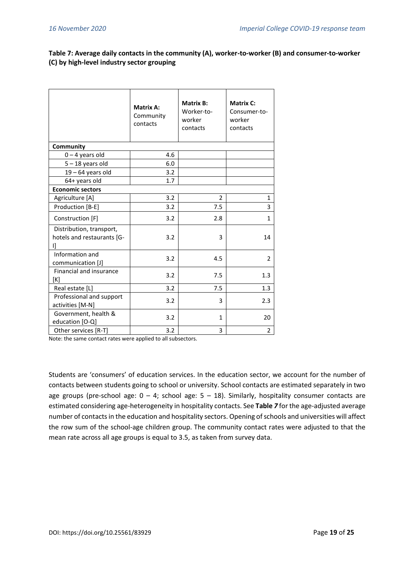## **Table 7: Average daily contacts in the community (A), worker-to-worker (B) and consumer-to-worker (C) by high-level industry sector grouping**

|                                                              | <b>Matrix A:</b><br>Community<br>contacts | <b>Matrix B:</b><br>Worker-to-<br>worker<br>contacts | <b>Matrix C:</b><br>Consumer-to-<br>worker<br>contacts |
|--------------------------------------------------------------|-------------------------------------------|------------------------------------------------------|--------------------------------------------------------|
| Community                                                    |                                           |                                                      |                                                        |
| $0 - 4$ years old                                            | 4.6                                       |                                                      |                                                        |
| $5 - 18$ years old                                           | 6.0                                       |                                                      |                                                        |
| $19 - 64$ years old                                          | 3.2                                       |                                                      |                                                        |
| 64+ years old                                                | 1.7                                       |                                                      |                                                        |
| <b>Economic sectors</b>                                      |                                           |                                                      |                                                        |
| Agriculture [A]                                              | 3.2                                       | $\overline{2}$                                       | 1                                                      |
| Production [B-E]                                             | 3.2                                       | 7.5                                                  | 3                                                      |
| Construction [F]                                             | 3.2                                       | 2.8                                                  | $\mathbf{1}$                                           |
| Distribution, transport,<br>hotels and restaurants [G-<br>IJ | 3.2                                       | 3                                                    | 14                                                     |
| Information and<br>communication [J]                         | 3.2                                       | 4.5                                                  | $\overline{2}$                                         |
| Financial and insurance<br>[K]                               | 3.2                                       | 7.5                                                  | 1.3                                                    |
| Real estate [L]                                              | 3.2                                       | 7.5                                                  | 1.3                                                    |
| Professional and support<br>activities [M-N]                 | 3.2                                       | 3                                                    | 2.3                                                    |
| Government, health &<br>education [O-Q]                      | 3.2                                       | $\mathbf{1}$                                         | 20                                                     |
| Other services [R-T]                                         | 3.2                                       | 3                                                    | $\overline{2}$                                         |

Note: the same contact rates were applied to all subsectors.

Students are 'consumers' of education services. In the education sector, we account for the number of contacts between students going to school or university. School contacts are estimated separately in two age groups (pre-school age:  $0 - 4$ ; school age:  $5 - 18$ ). Similarly, hospitality consumer contacts are estimated considering age-heterogeneity in hospitality contacts. See **Table** *7* for the age-adjusted average number of contacts in the education and hospitality sectors. Opening of schools and universities will affect the row sum of the school-age children group. The community contact rates were adjusted to that the mean rate across all age groups is equal to 3.5, as taken from survey data.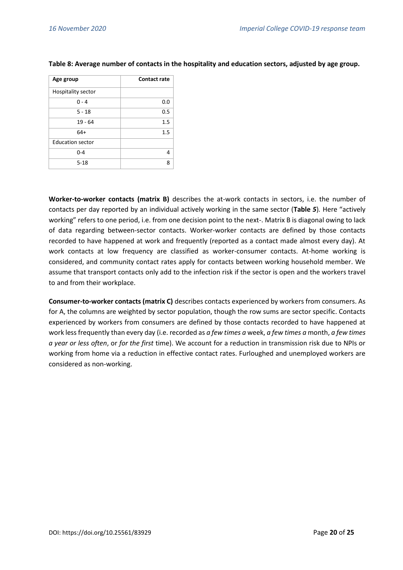| Age group               | <b>Contact rate</b> |
|-------------------------|---------------------|
| Hospitality sector      |                     |
| $0 - 4$                 | 0.0                 |
| $5 - 18$                | 0.5                 |
| 19 - 64                 | 1.5                 |
| $64+$                   | 1.5                 |
| <b>Education sector</b> |                     |
| $0 - 4$                 | 4                   |
| $5 - 18$                | 8                   |

#### **Table 8: Average number of contacts in the hospitality and education sectors, adjusted by age group.**

**Worker-to-worker contacts (matrix B)** describes the at-work contacts in sectors, i.e. the number of contacts per day reported by an individual actively working in the same sector (**Table** *5*)*.* Here "actively working" refers to one period, i.e. from one decision point to the next-. Matrix B is diagonal owing to lack of data regarding between-sector contacts. Worker-worker contacts are defined by those contacts recorded to have happened at work and frequently (reported as a contact made almost every day). At work contacts at low frequency are classified as worker-consumer contacts. At-home working is considered, and community contact rates apply for contacts between working household member. We assume that transport contacts only add to the infection risk if the sector is open and the workers travel to and from their workplace.

**Consumer-to-worker contacts (matrix C)** describes contacts experienced by workers from consumers. As for A, the columns are weighted by sector population, though the row sums are sector specific. Contacts experienced by workers from consumers are defined by those contacts recorded to have happened at work less frequently than every day (i.e. recorded as *a few times a* week, *a few times a* month, *a few times a year or less often*, or *for the first* time). We account for a reduction in transmission risk due to NPIs or working from home via a reduction in effective contact rates. Furloughed and unemployed workers are considered as non-working.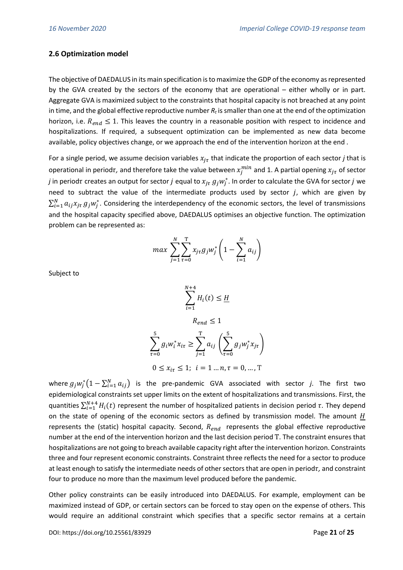### **2.6 Optimization model**

The objective of DAEDALUS in its main specification is to maximize the GDP of the economy as represented by the GVA created by the sectors of the economy that are operational – either wholly or in part. Aggregate GVA is maximized subject to the constraints that hospital capacity is not breached at any point in time, and the global effective reproductive number *R<sup>t</sup>* is smaller than one at the end of the optimization horizon, i.e.  $R_{end} \leq 1$ . This leaves the country in a reasonable position with respect to incidence and hospitalizations. If required, a subsequent optimization can be implemented as new data become available, policy objectives change, or we approach the end of the intervention horizon at the end .

For a single period, we assume decision variables  $x_{j\tau}$  that indicate the proportion of each sector *j* that is operational in period $\tau$ , and therefore take the value between  $x_j^{min}$  and 1. A partial opening  $x_{j\tau}$  of sector *j* in period $\tau$  creates an output for sector  $j$  equal to  $x_{j\tau}$   $g_jw_j^*$ . In order to calculate the GVA for sector  $j$  we need to subtract the value of the intermediate products used by sector  $j$ , which are given by  $\sum_{i=1}^N a_{ij}x_{j\tau} g_j w_j^*$ . Considering the interdependency of the economic sectors, the level of transmissions and the hospital capacity specified above, DAEDALUS optimises an objective function. The optimization problem can be represented as:

$$
max \sum_{j=1}^{N} \sum_{\tau=0}^{T} x_{j\tau} g_j w_j^* \left(1 - \sum_{i=1}^{N} a_{ij}\right)
$$

Subject to

$$
\sum_{i=1}^{N+4} H_i(t) \le \underline{H}
$$

$$
R_{end} \leq 1
$$

$$
\sum_{\tau=0}^{5} g_i w_i^* x_{i\tau} \ge \sum_{j=1}^{T} a_{ij} \left( \sum_{\tau=0}^{5} g_j w_j^* x_{j\tau} \right)
$$
  

$$
0 \le x_{i\tau} \le 1; \ \ i = 1 \dots n, \tau = 0, \dots, T
$$

where  $g_j w_j^* (1 - \sum_{i=1}^N a_{ij})$  is the pre-pandemic GVA associated with sector *j*. The first two epidemiological constraints set upper limits on the extent of hospitalizations and transmissions. First, the quantities  $\sum_{i=1}^{N+4} H_i(t)$  represent the number of hospitalized patients in decision period  $\tau$ . They depend on the state of opening of the economic sectors as defined by transmission model. The amount  $H$ represents the (static) hospital capacity. Second, R<sub>end</sub> represents the global effective reproductive number at the end of the intervention horizon and the last decision period T. The constraint ensures that hospitalizations are not going to breach available capacity right after the intervention horizon. Constraints three and four represent economic constraints. Constraint three reflects the need for a sector to produce at least enough to satisfy the intermediate needs of other sectors that are open in period $\tau$ , and constraint four to produce no more than the maximum level produced before the pandemic.

Other policy constraints can be easily introduced into DAEDALUS. For example, employment can be maximized instead of GDP, or certain sectors can be forced to stay open on the expense of others. This would require an additional constraint which specifies that a specific sector remains at a certain

DOI: https://doi.org/10.25561/83929 Page **21** of **25**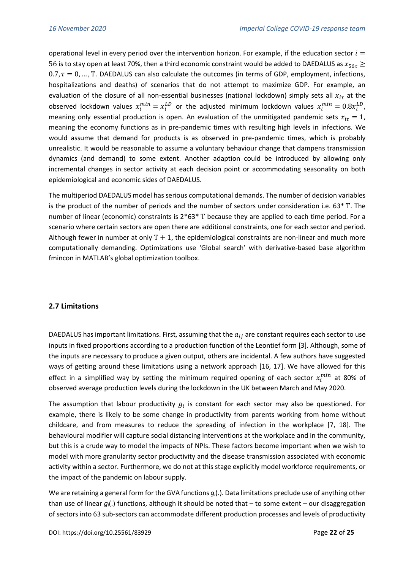operational level in every period over the intervention horizon. For example, if the education sector  $i =$ 56 is to stay open at least 70%, then a third economic constraint would be added to DAEDALUS as  $x_{567} \ge$  $0.7$ ,  $\tau = 0$ , ..., T. DAEDALUS can also calculate the outcomes (in terms of GDP, employment, infections, hospitalizations and deaths) of scenarios that do not attempt to maximize GDP. For example, an evaluation of the closure of all non-essential businesses (national lockdown) simply sets all  $x_{i\tau}$  at the observed lockdown values  $x_i^{min} = x_i^{LD}$  or the adjusted minimum lockdown values  $x_i^{min} = 0.8x_i^{LD}$ , meaning only essential production is open. An evaluation of the unmitigated pandemic sets  $x_{i\tau} = 1$ , meaning the economy functions as in pre-pandemic times with resulting high levels in infections. We would assume that demand for products is as observed in pre-pandemic times, which is probably unrealistic. It would be reasonable to assume a voluntary behaviour change that dampens transmission dynamics (and demand) to some extent. Another adaption could be introduced by allowing only incremental changes in sector activity at each decision point or accommodating seasonality on both epidemiological and economic sides of DAEDALUS.

The multiperiod DAEDALUS model has serious computational demands. The number of decision variables is the product of the number of periods and the number of sectors under consideration i.e. 63\* Τ. The number of linear (economic) constraints is 2\*63\* Τ because they are applied to each time period. For a scenario where certain sectors are open there are additional constraints, one for each sector and period. Although fewer in number at only  $T + 1$ , the epidemiological constraints are non-linear and much more computationally demanding. Optimizations use 'Global search' with derivative-based base algorithm fmincon in MATLAB's global optimization toolbox.

## **2.7 Limitations**

DAEDALUS has important limitations. First, assuming that the  $a_{ij}$  are constant requires each sector to use inputs in fixed proportions according to a production function of the Leontief form [3]. Although, some of the inputs are necessary to produce a given output, others are incidental. A few authors have suggested ways of getting around these limitations using a network approach [16, 17]. We have allowed for this effect in a simplified way by setting the minimum required opening of each sector  $x_i^{min}$  at 80% of observed average production levels during the lockdown in the UK between March and May 2020.

The assumption that labour productivity  $g_i$  is constant for each sector may also be questioned. For example, there is likely to be some change in productivity from parents working from home without childcare, and from measures to reduce the spreading of infection in the workplace [7, 18]. The behavioural modifier will capture social distancing interventions at the workplace and in the community, but this is a crude way to model the impacts of NPIs. These factors become important when we wish to model with more granularity sector productivity and the disease transmission associated with economic activity within a sector. Furthermore, we do not at this stage explicitly model workforce requirements, or the impact of the pandemic on labour supply.

We are retaining a general form for the GVA functions *gi*(.). Data limitations preclude use of anything other than use of linear  $q_i(.)$  functions, although it should be noted that  $-$  to some extent  $-$  our disaggregation of sectors into 63 sub-sectors can accommodate different production processes and levels of productivity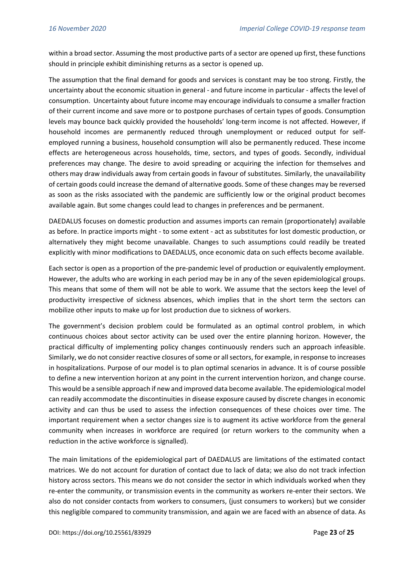within a broad sector. Assuming the most productive parts of a sector are opened up first, these functions should in principle exhibit diminishing returns as a sector is opened up.

The assumption that the final demand for goods and services is constant may be too strong. Firstly, the uncertainty about the economic situation in general - and future income in particular - affects the level of consumption. Uncertainty about future income may encourage individuals to consume a smaller fraction of their current income and save more or to postpone purchases of certain types of goods. Consumption levels may bounce back quickly provided the households' long-term income is not affected. However, if household incomes are permanently reduced through unemployment or reduced output for selfemployed running a business, household consumption will also be permanently reduced. These income effects are heterogeneous across households, time, sectors, and types of goods. Secondly, individual preferences may change. The desire to avoid spreading or acquiring the infection for themselves and others may draw individuals away from certain goods in favour of substitutes. Similarly, the unavailability of certain goods could increase the demand of alternative goods. Some of these changes may be reversed as soon as the risks associated with the pandemic are sufficiently low or the original product becomes available again. But some changes could lead to changes in preferences and be permanent.

DAEDALUS focuses on domestic production and assumes imports can remain (proportionately) available as before. In practice imports might - to some extent - act as substitutes for lost domestic production, or alternatively they might become unavailable. Changes to such assumptions could readily be treated explicitly with minor modifications to DAEDALUS, once economic data on such effects become available.

Each sector is open as a proportion of the pre-pandemic level of production or equivalently employment. However, the adults who are working in each period may be in any of the seven epidemiological groups. This means that some of them will not be able to work. We assume that the sectors keep the level of productivity irrespective of sickness absences, which implies that in the short term the sectors can mobilize other inputs to make up for lost production due to sickness of workers.

The government's decision problem could be formulated as an optimal control problem, in which continuous choices about sector activity can be used over the entire planning horizon. However, the practical difficulty of implementing policy changes continuously renders such an approach infeasible. Similarly, we do not consider reactive closures of some or all sectors, for example, in response to increases in hospitalizations. Purpose of our model is to plan optimal scenarios in advance. It is of course possible to define a new intervention horizon at any point in the current intervention horizon, and change course. This would be a sensible approach if new and improved data become available. The epidemiological model can readily accommodate the discontinuities in disease exposure caused by discrete changes in economic activity and can thus be used to assess the infection consequences of these choices over time. The important requirement when a sector changes size is to augment its active workforce from the general community when increases in workforce are required (or return workers to the community when a reduction in the active workforce is signalled).

The main limitations of the epidemiological part of DAEDALUS are limitations of the estimated contact matrices. We do not account for duration of contact due to lack of data; we also do not track infection history across sectors. This means we do not consider the sector in which individuals worked when they re-enter the community, or transmission events in the community as workers re-enter their sectors. We also do not consider contacts from workers to consumers, (just consumers to workers) but we consider this negligible compared to community transmission, and again we are faced with an absence of data. As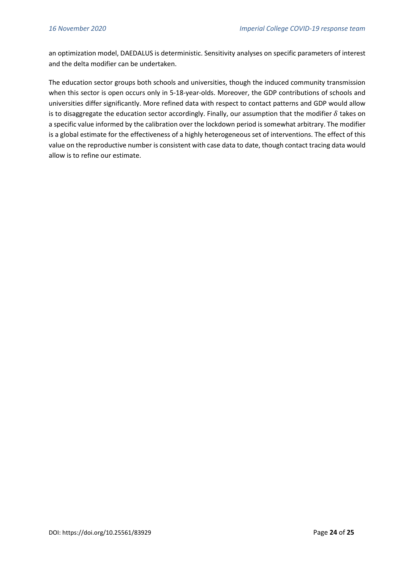an optimization model, DAEDALUS is deterministic. Sensitivity analyses on specific parameters of interest and the delta modifier can be undertaken.

The education sector groups both schools and universities, though the induced community transmission when this sector is open occurs only in 5-18-year-olds. Moreover, the GDP contributions of schools and universities differ significantly. More refined data with respect to contact patterns and GDP would allow is to disaggregate the education sector accordingly. Finally, our assumption that the modifier  $\delta$  takes on a specific value informed by the calibration over the lockdown period is somewhat arbitrary. The modifier is a global estimate for the effectiveness of a highly heterogeneous set of interventions. The effect of this value on the reproductive number is consistent with case data to date, though contact tracing data would allow is to refine our estimate.